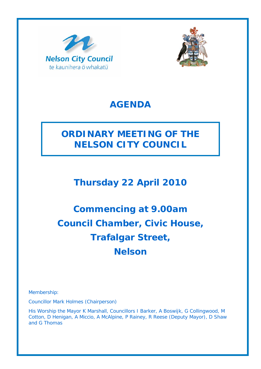



## **AGENDA**

# **ORDINARY MEETING OF THE NELSON CITY COUNCIL**

**Thursday 22 April 2010** 

# **Commencing at 9.00am Council Chamber, Civic House, Trafalgar Street, Nelson**

Membership:

Councillor Mark Holmes (Chairperson)

His Worship the Mayor K Marshall, Councillors I Barker, A Boswijk, G Collingwood, M Cotton, D Henigan, A Miccio, A McAlpine, P Rainey, R Reese (Deputy Mayor), D Shaw and G Thomas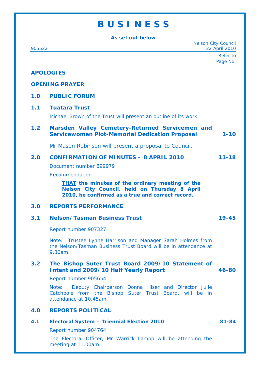## **B U S I N E S S**

**As set out below** 

| <b>Nelson City Council</b><br>905522 |                                                                                                                                                             | 22 April 2010        |
|--------------------------------------|-------------------------------------------------------------------------------------------------------------------------------------------------------------|----------------------|
|                                      |                                                                                                                                                             | Refer to<br>Page No. |
|                                      | <b>APOLOGIES</b>                                                                                                                                            |                      |
| <b>OPENING PRAYER</b>                |                                                                                                                                                             |                      |
|                                      |                                                                                                                                                             |                      |
| 1.0                                  | <b>PUBLIC FORUM</b>                                                                                                                                         |                      |
| 1.1                                  | <b>Tuatara Trust</b>                                                                                                                                        |                      |
|                                      | Michael Brown of the Trust will present an outline of its work.                                                                                             |                      |
| 1.2                                  | Marsden Valley Cemetery-Returned Servicemen and<br><b>Servicewomen Plot-Memorial Dedication Proposal</b>                                                    | $1 - 10$             |
|                                      | Mr Mason Robinson will present a proposal to Council.                                                                                                       |                      |
| 2.0                                  | <b>CONFIRMATION OF MINUTES - 8 APRIL 2010</b>                                                                                                               | $11 - 18$            |
|                                      | Document number 899979                                                                                                                                      |                      |
|                                      | Recommendation                                                                                                                                              |                      |
|                                      | <b>THAT</b> the minutes of the ordinary meeting of the<br>Nelson City Council, held on Thursday 8 April<br>2010, be confirmed as a true and correct record. |                      |
| 3.0                                  | <b>REPORTS PERFORMANCE</b>                                                                                                                                  |                      |
| 3.1                                  | <b>Nelson/Tasman Business Trust</b>                                                                                                                         | $19 - 45$            |
|                                      | Report number 907327                                                                                                                                        |                      |
|                                      | Note: Trustee Lynne Harrison and Manager Sarah Holmes from<br>the Nelson/Tasman Business Trust Board will be in attendance at<br>9.30am.                    |                      |
| 3.2                                  | The Bishop Suter Trust Board 2009/10 Statement of<br><b>Intent and 2009/10 Half Yearly Report</b>                                                           | 46-80                |
|                                      | Report number 905654                                                                                                                                        |                      |
|                                      | Note:<br>Deputy Chairperson Donna Hiser and Director Julie<br>Catchpole from the Bishop Suter Trust Board, will be in<br>attendance at 10.45am.             |                      |
| 4.0                                  | <b>REPORTS POLITICAL</b>                                                                                                                                    |                      |
| 4.1                                  | <b>Electoral System - Triennial Election 2010</b>                                                                                                           | 81-84                |
|                                      | Report number 904764                                                                                                                                        |                      |
|                                      | The Electoral Officer, Mr Warrick Lampp will be attending the<br>meeting at 11.00am.                                                                        |                      |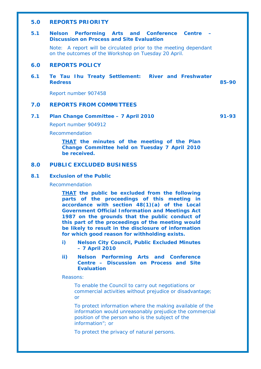#### **5.0 REPORTS PRIORITY**

#### **5.1 Nelson Performing Arts and Conference Centre – Discussion on Process and Site Evaluation**

Note: A report will be circulated prior to the meeting dependant on the outcomes of the Workshop on Tuesday 20 April.

#### **6.0 REPORTS POLICY**

#### **6.1 Te Tau Ihu Treaty Settlement: River and Freshwater Redress 85-90**

Report number 907458

#### **7.0 REPORTS FROM COMMITTEES**

#### **7.1 Plan Change Committee – 7 April 2010 91-93**

Report number 904912

Recommendation

*THAT the minutes of the meeting of the Plan Change Committee held on Tuesday 7 April 2010 be received.* 

### **8.0 PUBLIC EXCLUDED BUSINESS**

#### **8.1 Exclusion of the Public**

Recommendation

*THAT the public be excluded from the following parts of the proceedings of this meeting in accordance with section 48(1)(a) of the Local Government Official Information and Meetings Act 1987 on the grounds that the public conduct of this part of the proceedings of the meeting would be likely to result in the disclosure of information for which good reason for withholding exists.* 

- *i) Nelson City Council, Public Excluded Minutes – 7 April 2010*
- *ii) Nelson Performing Arts and Conference Centre – Discussion on Process and Site Evaluation*

#### *Reasons:*

*To enable the Council to carry out negotiations or commercial activities without prejudice or disadvantage; or* 

*To protect information where the making available of the information would unreasonably prejudice the commercial position of the person who is the subject of the information"; or* 

*To protect the privacy of natural persons.*